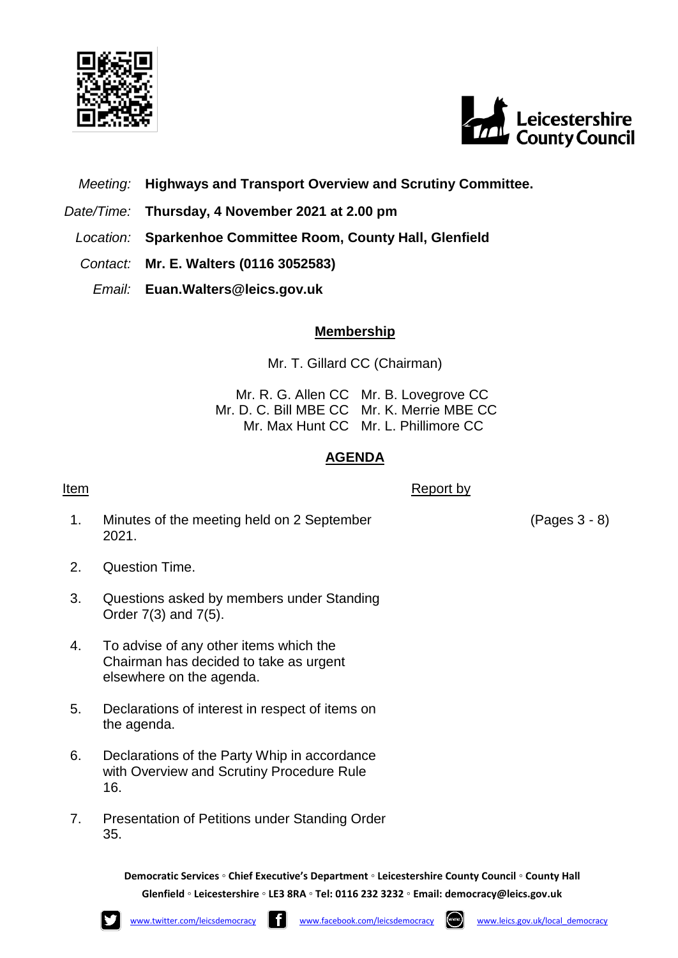



*Meeting:* **Highways and Transport Overview and Scrutiny Committee.**

- *Date/Time:* **Thursday, 4 November 2021 at 2.00 pm**
- *Location:* **Sparkenhoe Committee Room, County Hall, Glenfield**
- *Contact:* **Mr. E. Walters (0116 3052583)**
	- *Email:* **Euan.Walters@leics.gov.uk**

## **Membership**

Mr. T. Gillard CC (Chairman)

Mr. R. G. Allen CC Mr. B. Lovegrove CC Mr. D. C. Bill MBE CC Mr. K. Merrie MBE CC Mr. Max Hunt CC Mr. L. Phillimore CC

## **AGENDA**

**Item** Report by

- 1. Minutes of the meeting held on 2 September 2021.
- 2. Question Time.
- 3. Questions asked by members under Standing Order 7(3) and 7(5).
- 4. To advise of any other items which the Chairman has decided to take as urgent elsewhere on the agenda.
- 5. Declarations of interest in respect of items on the agenda.
- 6. Declarations of the Party Whip in accordance with Overview and Scrutiny Procedure Rule 16.
- 7. Presentation of Petitions under Standing Order 35.

**Democratic Services ◦ Chief Executive's Department ◦ Leicestershire County Council ◦ County Hall Glenfield ◦ Leicestershire ◦ LE3 8RA ◦ Tel: 0116 232 3232 ◦ Email: [democracy@leics.gov.uk](mailto:democracy@leics.gov.uk)**



(Pages 3 - 8)